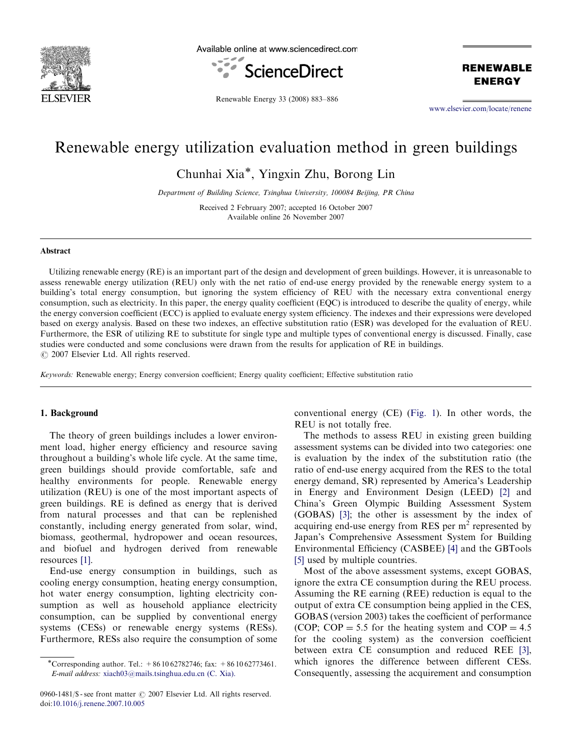

Available online at www.sciencedirect.com



**RENEWABLE ENERGY** 

Renewable Energy 33 (2008) 883–886

<www.elsevier.com/locate/renene>

## Renewable energy utilization evaluation method in green buildings

Chunhai Xia\*, Yingxin Zhu, Borong Lin

Department of Building Science, Tsinghua University, 100084 Beijing, PR China

Received 2 February 2007; accepted 16 October 2007 Available online 26 November 2007

#### Abstract

Utilizing renewable energy (RE) is an important part of the design and development of green buildings. However, it is unreasonable to assess renewable energy utilization (REU) only with the net ratio of end-use energy provided by the renewable energy system to a building's total energy consumption, but ignoring the system efficiency of REU with the necessary extra conventional energy consumption, such as electricity. In this paper, the energy quality coefficient (EQC) is introduced to describe the quality of energy, while the energy conversion coefficient (ECC) is applied to evaluate energy system efficiency. The indexes and their expressions were developed based on exergy analysis. Based on these two indexes, an effective substitution ratio (ESR) was developed for the evaluation of REU. Furthermore, the ESR of utilizing RE to substitute for single type and multiple types of conventional energy is discussed. Finally, case studies were conducted and some conclusions were drawn from the results for application of RE in buildings.  $\odot$  2007 Elsevier Ltd. All rights reserved.

Keywords: Renewable energy; Energy conversion coefficient; Energy quality coefficient; Effective substitution ratio

### 1. Background

The theory of green buildings includes a lower environment load, higher energy efficiency and resource saving throughout a building's whole life cycle. At the same time, green buildings should provide comfortable, safe and healthy environments for people. Renewable energy utilization (REU) is one of the most important aspects of green buildings. RE is defined as energy that is derived from natural processes and that can be replenished constantly, including energy generated from solar, wind, biomass, geothermal, hydropower and ocean resources, and biofuel and hydrogen derived from renewable resources [\[1\].](#page--1-0)

End-use energy consumption in buildings, such as cooling energy consumption, heating energy consumption, hot water energy consumption, lighting electricity consumption as well as household appliance electricity consumption, can be supplied by conventional energy systems (CESs) or renewable energy systems (RESs). Furthermore, RESs also require the consumption of some conventional energy (CE) [\(Fig. 1\)](#page-1-0). In other words, the REU is not totally free.

The methods to assess REU in existing green building assessment systems can be divided into two categories: one is evaluation by the index of the substitution ratio (the ratio of end-use energy acquired from the RES to the total energy demand, SR) represented by America's Leadership in Energy and Environment Design (LEED) [\[2\]](#page--1-0) and China's Green Olympic Building Assessment System (GOBAS) [\[3\]](#page--1-0); the other is assessment by the index of acquiring end-use energy from RES per  $m<sup>2</sup>$  represented by Japan's Comprehensive Assessment System for Building Environmental Efficiency (CASBEE) [\[4\]](#page--1-0) and the GBTools [\[5\]](#page--1-0) used by multiple countries.

Most of the above assessment systems, except GOBAS, ignore the extra CE consumption during the REU process. Assuming the RE earning (REE) reduction is equal to the output of extra CE consumption being applied in the CES, GOBAS (version 2003) takes the coefficient of performance (COP; COP = 5.5 for the heating system and COP =  $4.5$ ) for the cooling system) as the conversion coefficient between extra CE consumption and reduced REE [\[3\],](#page--1-0) which ignores the difference between different CESs. Consequently, assessing the acquirement and consumption

<sup>\*</sup>Corresponding author. Tel.:  $+861062782746$ ; fax:  $+861062773461$ . E-mail address: [xiach03@mails.tsinghua.edu.cn \(C. Xia\).](mailto:xiach03@mails.tsinghua.edu.cn)

<sup>0960-1481/\$ -</sup> see front matter  $\odot$  2007 Elsevier Ltd. All rights reserved. doi:[10.1016/j.renene.2007.10.005](dx.doi.org/10.1016/j.renene.2007.10.005)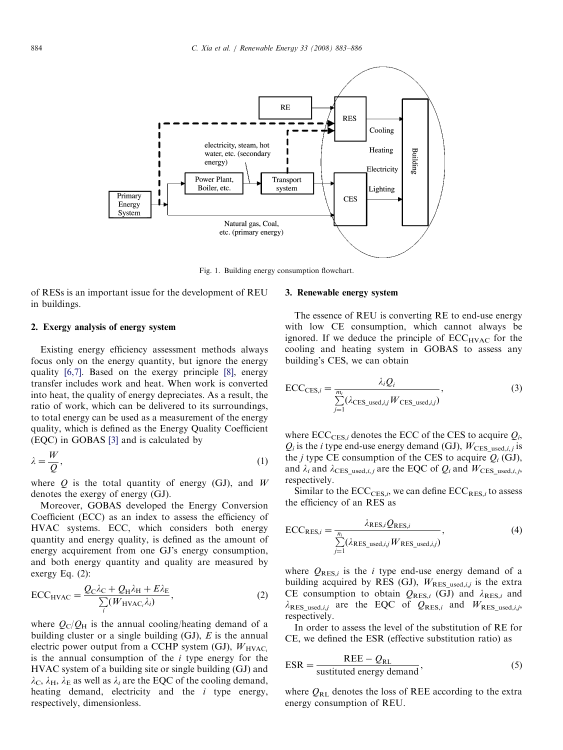<span id="page-1-0"></span>

Fig. 1. Building energy consumption flowchart.

of RESs is an important issue for the development of REU in buildings.

#### 2. Exergy analysis of energy system

Existing energy efficiency assessment methods always focus only on the energy quantity, but ignore the energy quality [\[6,7\]](#page--1-0). Based on the exergy principle [\[8\]](#page--1-0), energy transfer includes work and heat. When work is converted into heat, the quality of energy depreciates. As a result, the ratio of work, which can be delivered to its surroundings, to total energy can be used as a measurement of the energy quality, which is defined as the Energy Quality Coefficient (EQC) in GOBAS [\[3\]](#page--1-0) and is calculated by

$$
\lambda = \frac{W}{Q},\tag{1}
$$

where  $Q$  is the total quantity of energy (GJ), and  $W$ denotes the exergy of energy (GJ).

Moreover, GOBAS developed the Energy Conversion Coefficient (ECC) as an index to assess the efficiency of HVAC systems. ECC, which considers both energy quantity and energy quality, is defined as the amount of energy acquirement from one GJ's energy consumption, and both energy quantity and quality are measured by exergy Eq. (2):

$$
ECC_{\text{HVAC}} = \frac{Q_{\text{C}}\lambda_{\text{C}} + Q_{\text{H}}\lambda_{\text{H}} + E\lambda_{\text{E}}}{\sum_{i}(W_{\text{HVAC}_{i}}\lambda_{i})},\tag{2}
$$

where  $Q_C/Q_H$  is the annual cooling/heating demand of a building cluster or a single building  $(GJ)$ ,  $E$  is the annual electric power output from a CCHP system (GJ),  $W_{\text{HVAC}_i}$ is the annual consumption of the  $i$  type energy for the HVAC system of a building site or single building (GJ) and  $\lambda_c$ ,  $\lambda_H$ ,  $\lambda_E$  as well as  $\lambda_i$  are the EQC of the cooling demand, heating demand, electricity and the  $i$  type energy, respectively, dimensionless.

#### 3. Renewable energy system

The essence of REU is converting RE to end-use energy with low CE consumption, which cannot always be ignored. If we deduce the principle of  $ECC_{HVAC}$  for the cooling and heating system in GOBAS to assess any building's CES, we can obtain

$$
\text{ECC}_{\text{CES},i} = \frac{\lambda_i Q_i}{\sum_{j=1}^{m_i} (\lambda_{\text{CES}\_\text{used},i,j} W_{\text{CES}\_\text{used},i,j})},\tag{3}
$$

where  $\text{ECC}_{\text{CES},i}$  denotes the ECC of the CES to acquire  $Q_i$ ,  $Q_i$  is the *i* type end-use energy demand (GJ),  $W_{\text{CES\_used},i,j}$  is the *j* type CE consumption of the CES to acquire  $Q_i$  (GJ), and  $\lambda_i$  and  $\lambda_{\text{CES}-used,i,j}$  are the EQC of  $Q_i$  and  $W_{\text{CES}-used,i,j}$ , respectively.

Similar to the  $\text{ECC}_{\text{CES},i}$ , we can define  $\text{ECC}_{\text{RES},i}$  to assess the efficiency of an RES as

$$
\text{ECC}_{\text{RES},i} = \frac{\lambda_{\text{RES},i} Q_{\text{RES},i}}{\sum\limits_{j=1}^{n_i} (\lambda_{\text{RES\_used},i,j} W_{\text{RES\_used},i,j})},\tag{4}
$$

where  $Q_{\text{RES},i}$  is the *i* type end-use energy demand of a building acquired by RES (GJ),  $W_{RES\_used,i,j}$  is the extra CE consumption to obtain  $Q_{\text{RES},i}$  (GJ) and  $\lambda_{\text{RES},i}$  and  $\lambda_{RES\_used,i,j}$  are the EQC of  $Q_{RES,i}$  and  $W_{RES\_used,i,j}$ , respectively.

In order to assess the level of the substitution of RE for CE, we defined the ESR (effective substitution ratio) as

$$
ESR = \frac{REE - Q_{RL}}{\text{sustituted energy demand}},
$$
\n(5)

where  $Q_{RL}$  denotes the loss of REE according to the extra energy consumption of REU.